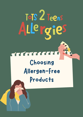# ToTS 2 Teens Allergies

#### TETTELET

Choosing Allergen-Free Products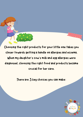Choosing the right products for your little one takes you closer towards getting a handle on allergies and eczema. When my daughter's cow's milk and egg allergies were diagnosed, choosing the right food and products became crucial for her care.

There are 3 key choices you can make:

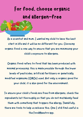### Forfood,choose organic and allergen-free

As a scientist and mum, I wanted my child to have the best start in life and it will be no different for you. Choosing organic food is one way to ensure that you are minimising your child's exposure to allergens.

Organic food refers to food that has been produced with minimal processing; this is made possible through the lower levels of pesticides, artificial fertilisers or genetically modified organisms (GMOs) used. Not only is organic good for your child, it is also good for the environment.

To ensure your child's foods are free from allergens, check the ingredients list thoroughly so that you do not mistakenly feed

them with something that triggers the allergy. Thankfully, there are tools to help us achieve this. One I still find useful is the FoodMaestro app.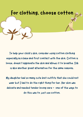

To help your child's skin, consider using cotton clothing especially as a base and first contact with the skin. Cotton is loose, doesn't aggravate the skin and allows it to breathe. Silk is also another great alternative for the same reasons.

My daughter had so many cute knit outfits that she could not wear but I had to do the right thing for her. Her skin was delicate and needed tender loving care - one of the ways to do this was to just use cotton.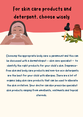